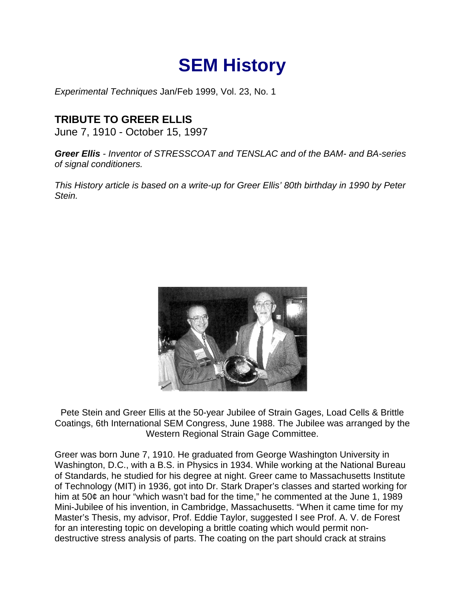## **SEM History**

*Experimental Techniques* Jan/Feb 1999, Vol. 23, No. 1

## **TRIBUTE TO GREER ELLIS**

June 7, 1910 - October 15, 1997

*Greer Ellis - Inventor of STRESSCOAT and TENSLAC and of the BAM- and BA-series of signal conditioners.*

*This History article is based on a write-up for Greer Ellis' 80th birthday in 1990 by Peter Stein.*



Pete Stein and Greer Ellis at the 50-year Jubilee of Strain Gages, Load Cells & Brittle Coatings, 6th International SEM Congress, June 1988. The Jubilee was arranged by the Western Regional Strain Gage Committee.

Greer was born June 7, 1910. He graduated from George Washington University in Washington, D.C., with a B.S. in Physics in 1934. While working at the National Bureau of Standards, he studied for his degree at night. Greer came to Massachusetts Institute of Technology (MIT) in 1936, got into Dr. Stark Draper's classes and started working for him at 50¢ an hour "which wasn't bad for the time," he commented at the June 1, 1989 Mini-Jubilee of his invention, in Cambridge, Massachusetts. "When it came time for my Master's Thesis, my advisor, Prof. Eddie Taylor, suggested I see Prof. A. V. de Forest for an interesting topic on developing a brittle coating which would permit nondestructive stress analysis of parts. The coating on the part should crack at strains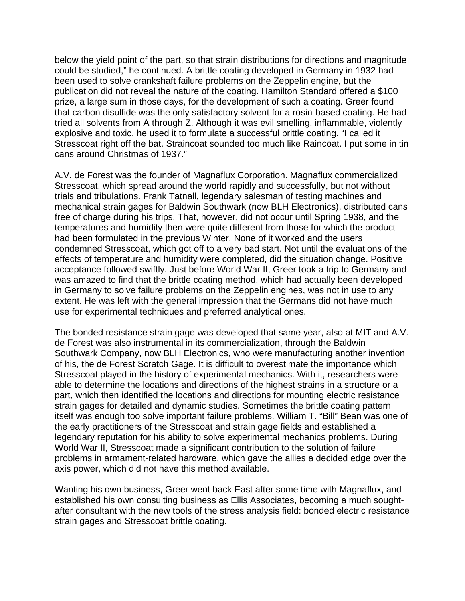below the yield point of the part, so that strain distributions for directions and magnitude could be studied," he continued. A brittle coating developed in Germany in 1932 had been used to solve crankshaft failure problems on the Zeppelin engine, but the publication did not reveal the nature of the coating. Hamilton Standard offered a \$100 prize, a large sum in those days, for the development of such a coating. Greer found that carbon disulfide was the only satisfactory solvent for a rosin-based coating. He had tried all solvents from A through Z. Although it was evil smelling, inflammable, violently explosive and toxic, he used it to formulate a successful brittle coating. "I called it Stresscoat right off the bat. Straincoat sounded too much like Raincoat. I put some in tin cans around Christmas of 1937."

A.V. de Forest was the founder of Magnaflux Corporation. Magnaflux commercialized Stresscoat, which spread around the world rapidly and successfully, but not without trials and tribulations. Frank Tatnall, legendary salesman of testing machines and mechanical strain gages for Baldwin Southwark (now BLH Electronics), distributed cans free of charge during his trips. That, however, did not occur until Spring 1938, and the temperatures and humidity then were quite different from those for which the product had been formulated in the previous Winter. None of it worked and the users condemned Stresscoat, which got off to a very bad start. Not until the evaluations of the effects of temperature and humidity were completed, did the situation change. Positive acceptance followed swiftly. Just before World War II, Greer took a trip to Germany and was amazed to find that the brittle coating method, which had actually been developed in Germany to solve failure problems on the Zeppelin engines, was not in use to any extent. He was left with the general impression that the Germans did not have much use for experimental techniques and preferred analytical ones.

The bonded resistance strain gage was developed that same year, also at MIT and A.V. de Forest was also instrumental in its commercialization, through the Baldwin Southwark Company, now BLH Electronics, who were manufacturing another invention of his, the de Forest Scratch Gage. It is difficult to overestimate the importance which Stresscoat played in the history of experimental mechanics. With it, researchers were able to determine the locations and directions of the highest strains in a structure or a part, which then identified the locations and directions for mounting electric resistance strain gages for detailed and dynamic studies. Sometimes the brittle coating pattern itself was enough too solve important failure problems. William T. "Bill" Bean was one of the early practitioners of the Stresscoat and strain gage fields and established a legendary reputation for his ability to solve experimental mechanics problems. During World War II, Stresscoat made a significant contribution to the solution of failure problems in armament-related hardware, which gave the allies a decided edge over the axis power, which did not have this method available.

Wanting his own business, Greer went back East after some time with Magnaflux, and established his own consulting business as Ellis Associates, becoming a much soughtafter consultant with the new tools of the stress analysis field: bonded electric resistance strain gages and Stresscoat brittle coating.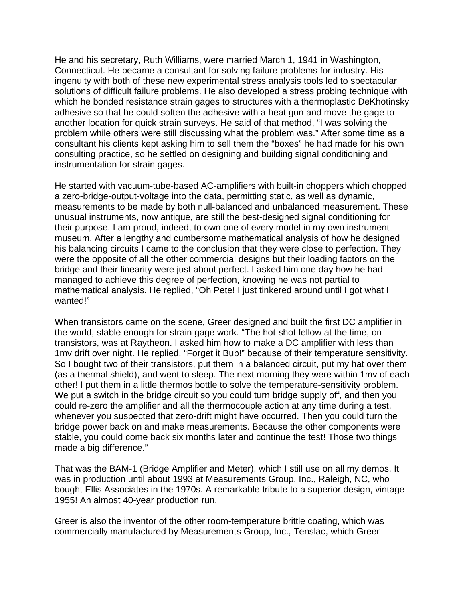He and his secretary, Ruth Williams, were married March 1, 1941 in Washington, Connecticut. He became a consultant for solving failure problems for industry. His ingenuity with both of these new experimental stress analysis tools led to spectacular solutions of difficult failure problems. He also developed a stress probing technique with which he bonded resistance strain gages to structures with a thermoplastic DeKhotinsky adhesive so that he could soften the adhesive with a heat gun and move the gage to another location for quick strain surveys. He said of that method, "I was solving the problem while others were still discussing what the problem was." After some time as a consultant his clients kept asking him to sell them the "boxes" he had made for his own consulting practice, so he settled on designing and building signal conditioning and instrumentation for strain gages.

He started with vacuum-tube-based AC-amplifiers with built-in choppers which chopped a zero-bridge-output-voltage into the data, permitting static, as well as dynamic, measurements to be made by both null-balanced and unbalanced measurement. These unusual instruments, now antique, are still the best-designed signal conditioning for their purpose. I am proud, indeed, to own one of every model in my own instrument museum. After a lengthy and cumbersome mathematical analysis of how he designed his balancing circuits I came to the conclusion that they were close to perfection. They were the opposite of all the other commercial designs but their loading factors on the bridge and their linearity were just about perfect. I asked him one day how he had managed to achieve this degree of perfection, knowing he was not partial to mathematical analysis. He replied, "Oh Pete! I just tinkered around until I got what I wanted!"

When transistors came on the scene, Greer designed and built the first DC amplifier in the world, stable enough for strain gage work. "The hot-shot fellow at the time, on transistors, was at Raytheon. I asked him how to make a DC amplifier with less than 1mv drift over night. He replied, "Forget it Bub!" because of their temperature sensitivity. So I bought two of their transistors, put them in a balanced circuit, put my hat over them (as a thermal shield), and went to sleep. The next morning they were within 1mv of each other! I put them in a little thermos bottle to solve the temperature-sensitivity problem. We put a switch in the bridge circuit so you could turn bridge supply off, and then you could re-zero the amplifier and all the thermocouple action at any time during a test, whenever you suspected that zero-drift might have occurred. Then you could turn the bridge power back on and make measurements. Because the other components were stable, you could come back six months later and continue the test! Those two things made a big difference."

That was the BAM-1 (Bridge Amplifier and Meter), which I still use on all my demos. It was in production until about 1993 at Measurements Group, Inc., Raleigh, NC, who bought Ellis Associates in the 1970s. A remarkable tribute to a superior design, vintage 1955! An almost 40-year production run.

Greer is also the inventor of the other room-temperature brittle coating, which was commercially manufactured by Measurements Group, Inc., Tenslac, which Greer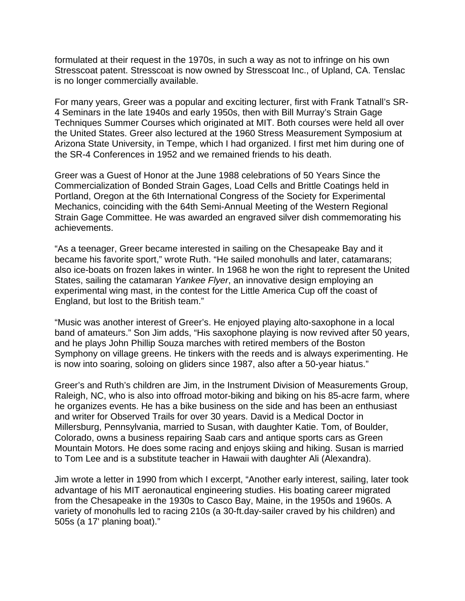formulated at their request in the 1970s, in such a way as not to infringe on his own Stresscoat patent. Stresscoat is now owned by Stresscoat Inc., of Upland, CA. Tenslac is no longer commercially available.

For many years, Greer was a popular and exciting lecturer, first with Frank Tatnall's SR-4 Seminars in the late 1940s and early 1950s, then with Bill Murray's Strain Gage Techniques Summer Courses which originated at MIT. Both courses were held all over the United States. Greer also lectured at the 1960 Stress Measurement Symposium at Arizona State University, in Tempe, which I had organized. I first met him during one of the SR-4 Conferences in 1952 and we remained friends to his death.

Greer was a Guest of Honor at the June 1988 celebrations of 50 Years Since the Commercialization of Bonded Strain Gages, Load Cells and Brittle Coatings held in Portland, Oregon at the 6th International Congress of the Society for Experimental Mechanics, coinciding with the 64th Semi-Annual Meeting of the Western Regional Strain Gage Committee. He was awarded an engraved silver dish commemorating his achievements.

"As a teenager, Greer became interested in sailing on the Chesapeake Bay and it became his favorite sport," wrote Ruth. "He sailed monohulls and later, catamarans; also ice-boats on frozen lakes in winter. In 1968 he won the right to represent the United States, sailing the catamaran *Yankee Flyer*, an innovative design employing an experimental wing mast, in the contest for the Little America Cup off the coast of England, but lost to the British team."

"Music was another interest of Greer's. He enjoyed playing alto-saxophone in a local band of amateurs." Son Jim adds, "His saxophone playing is now revived after 50 years, and he plays John Phillip Souza marches with retired members of the Boston Symphony on village greens. He tinkers with the reeds and is always experimenting. He is now into soaring, soloing on gliders since 1987, also after a 50-year hiatus."

Greer's and Ruth's children are Jim, in the Instrument Division of Measurements Group, Raleigh, NC, who is also into offroad motor-biking and biking on his 85-acre farm, where he organizes events. He has a bike business on the side and has been an enthusiast and writer for Observed Trails for over 30 years. David is a Medical Doctor in Millersburg, Pennsylvania, married to Susan, with daughter Katie. Tom, of Boulder, Colorado, owns a business repairing Saab cars and antique sports cars as Green Mountain Motors. He does some racing and enjoys skiing and hiking. Susan is married to Tom Lee and is a substitute teacher in Hawaii with daughter Ali (Alexandra).

Jim wrote a letter in 1990 from which I excerpt, "Another early interest, sailing, later took advantage of his MIT aeronautical engineering studies. His boating career migrated from the Chesapeake in the 1930s to Casco Bay, Maine, in the 1950s and 1960s. A variety of monohulls led to racing 210s (a 30-ft.day-sailer craved by his children) and 505s (a 17' planing boat)."